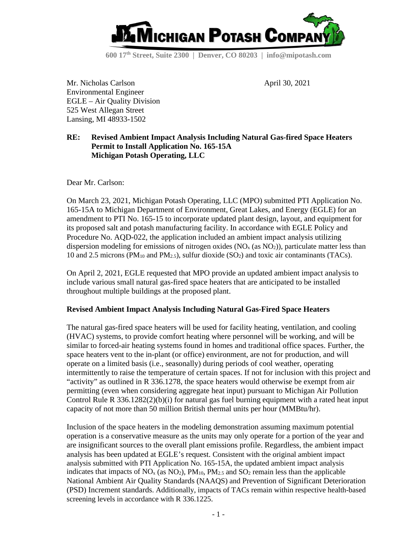

**600 17th Street, Suite 2300 | Denver, CO 80203 | [info@mipotash.com](mailto:info@mipotash.com)** 

Mr. Nicholas Carlson April 30, 2021 Environmental Engineer EGLE – Air Quality Division 525 West Allegan Street Lansing, MI 48933-1502

# **RE: Revised Ambient Impact Analysis Including Natural Gas-fired Space Heaters Permit to Install Application No. 165-15A Michigan Potash Operating, LLC**

Dear Mr. Carlson:

On March 23, 2021, Michigan Potash Operating, LLC (MPO) submitted PTI Application No. 165-15A to Michigan Department of Environment, Great Lakes, and Energy (EGLE) for an amendment to PTI No. 165-15 to incorporate updated plant design, layout, and equipment for its proposed salt and potash manufacturing facility. In accordance with EGLE Policy and Procedure No. AQD-022, the application included an ambient impact analysis utilizing dispersion modeling for emissions of nitrogen oxides ( $NO<sub>x</sub>$  (as  $NO<sub>2</sub>$ )), particulate matter less than 10 and 2.5 microns (PM<sub>10</sub> and PM<sub>2.5</sub>), sulfur dioxide (SO<sub>2</sub>) and toxic air contaminants (TACs).

On April 2, 2021, EGLE requested that MPO provide an updated ambient impact analysis to include various small natural gas-fired space heaters that are anticipated to be installed throughout multiple buildings at the proposed plant.

## **Revised Ambient Impact Analysis Including Natural Gas-Fired Space Heaters**

The natural gas-fired space heaters will be used for facility heating, ventilation, and cooling (HVAC) systems, to provide comfort heating where personnel will be working, and will be similar to forced-air heating systems found in homes and traditional office spaces. Further, the space heaters vent to the in-plant (or office) environment, are not for production, and will operate on a limited basis (i.e., seasonally) during periods of cool weather, operating intermittently to raise the temperature of certain spaces. If not for inclusion with this project and "activity" as outlined in R 336.1278, the space heaters would otherwise be exempt from air permitting (even when considering aggregate heat input) pursuant to Michigan Air Pollution Control Rule R  $336.1282(2)(b)(i)$  for natural gas fuel burning equipment with a rated heat input capacity of not more than 50 million British thermal units per hour (MMBtu/hr).

Inclusion of the space heaters in the modeling demonstration assuming maximum potential operation is a conservative measure as the units may only operate for a portion of the year and are insignificant sources to the overall plant emissions profile. Regardless, the ambient impact analysis has been updated at EGLE's request. Consistent with the original ambient impact analysis submitted with PTI Application No. 165-15A, the updated ambient impact analysis indicates that impacts of  $NO<sub>x</sub>$  (as  $NO<sub>2</sub>$ ),  $PM<sub>10</sub>$ ,  $PM<sub>2.5</sub>$  and  $SO<sub>2</sub>$  remain less than the applicable National Ambient Air Quality Standards (NAAQS) and Prevention of Significant Deterioration (PSD) Increment standards. Additionally, impacts of TACs remain within respective health-based screening levels in accordance with R 336.1225.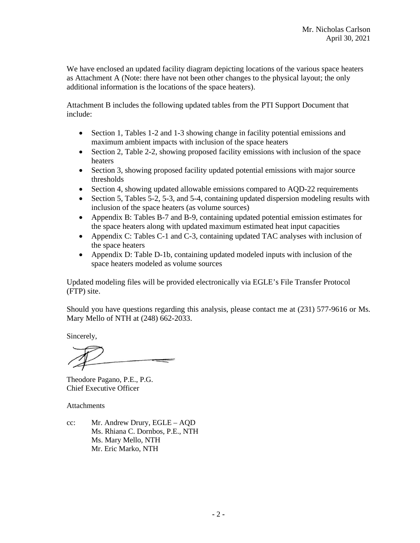We have enclosed an updated facility diagram depicting locations of the various space heaters as Attachment A (Note: there have not been other changes to the physical layout; the only additional information is the locations of the space heaters).

Attachment B includes the following updated tables from the PTI Support Document that include:

- Section 1, Tables 1-2 and 1-3 showing change in facility potential emissions and maximum ambient impacts with inclusion of the space heaters
- Section 2, Table 2-2, showing proposed facility emissions with inclusion of the space heaters
- Section 3, showing proposed facility updated potential emissions with major source thresholds
- Section 4, showing updated allowable emissions compared to AQD-22 requirements
- Section 5, Tables 5-2, 5-3, and 5-4, containing updated dispersion modeling results with inclusion of the space heaters (as volume sources)
- Appendix B: Tables B-7 and B-9, containing updated potential emission estimates for the space heaters along with updated maximum estimated heat input capacities
- Appendix C: Tables C-1 and C-3, containing updated TAC analyses with inclusion of the space heaters
- Appendix D: Table D-1b, containing updated modeled inputs with inclusion of the space heaters modeled as volume sources

Updated modeling files will be provided electronically via EGLE's File Transfer Protocol (FTP) site.

Should you have questions regarding this analysis, please contact me at (231) 577-9616 or Ms. Mary Mello of NTH at (248) 662-2033.

Sincerely,

Theodore Pagano, P.E., P.G. Chief Executive Officer

Attachments

cc: Mr. Andrew Drury, EGLE – AQD Ms. Rhiana C. Dornbos, P.E., NTH Ms. Mary Mello, NTH Mr. Eric Marko, NTH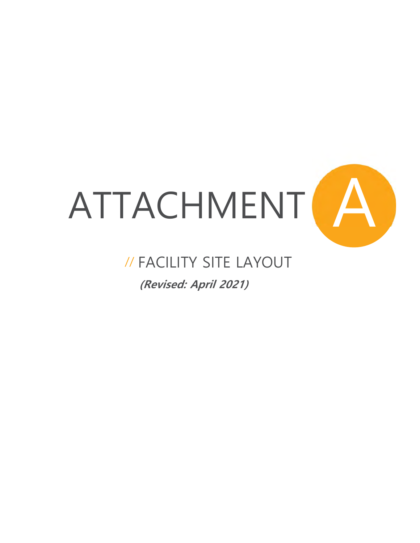

# // FACILITY SITE LAYOUT **(Revised: April 2021)**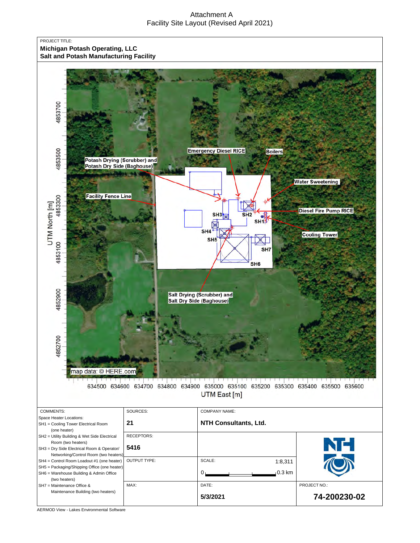#### Attachment A Facility Site Layout (Revised April 2021)

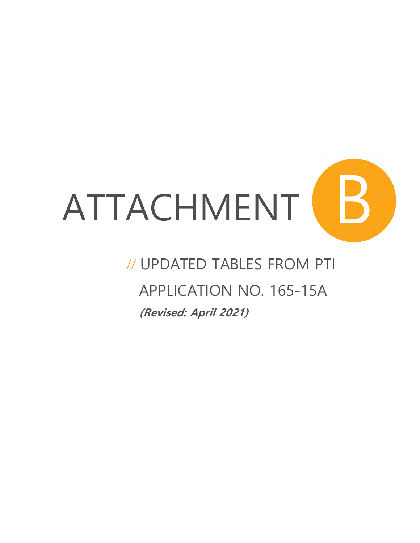

# // UPDATED TABLES FROM PTI APPLICATION NO. 165-15A **(Revised: April 2021)**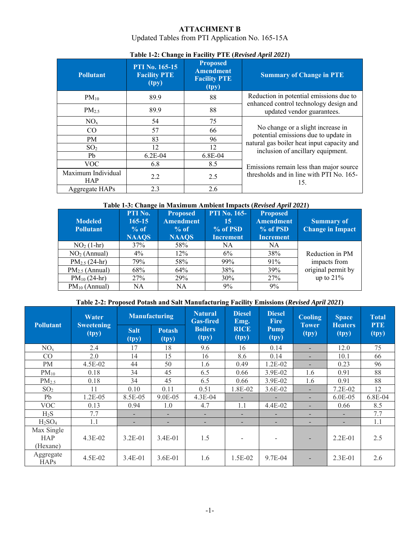# **ATTACHMENT B**

# Updated Tables from PTI Application No. 165-15A

| <b>Pollutant</b>                 | <b>PTI No. 165-15</b><br><b>Facility PTE</b><br>(tpy) | <b>Proposed</b><br><b>Amendment</b><br><b>Facility PTE</b><br>(tpy) | <b>Summary of Change in PTE</b>                                                    |
|----------------------------------|-------------------------------------------------------|---------------------------------------------------------------------|------------------------------------------------------------------------------------|
| $PM_{10}$                        | 89.9                                                  | 88                                                                  | Reduction in potential emissions due to<br>enhanced control technology design and  |
| PM <sub>2.5</sub>                | 89.9                                                  | 88                                                                  | updated vendor guarantees.                                                         |
| $NO_{x}$                         | 54                                                    | 75                                                                  |                                                                                    |
| CO                               | 57                                                    | 66                                                                  | No change or a slight increase in                                                  |
| <b>PM</b>                        | 83                                                    | 96                                                                  | potential emissions due to update in<br>natural gas boiler heat input capacity and |
| SO <sub>2</sub>                  | 12                                                    | 12                                                                  | inclusion of ancillary equipment.                                                  |
| Pb                               | $6.2E-04$                                             | 6.8E-04                                                             |                                                                                    |
| <b>VOC</b>                       | 6.8                                                   | 8.5                                                                 | Emissions remain less than major source                                            |
| Maximum Individual<br><b>HAP</b> | 2.2                                                   | 2.5                                                                 | thresholds and in line with PTI No. 165-<br>15.                                    |
| Aggregate HAPs                   | 2.3                                                   | 2.6                                                                 |                                                                                    |

#### **Table 1-2: Change in Facility PTE (***Revised April 2021***)**

#### **Table 1-3: Change in Maximum Ambient Impacts (***Revised April 2021***)**

| <b>Modeled</b><br><b>Pollutant</b> | <b>PTI No. 165-</b><br>PTI No.<br><b>Proposed</b><br><b>Amendment</b><br>$165 - 15$<br>15<br>% of PSD<br>% of<br>% of<br><b>NAAQS</b><br><b>NAAQS</b><br><b>Increment</b> |           | <b>Proposed</b><br><b>Amendment</b><br>% of PSD<br><b>Increment</b> | <b>Summary of</b><br><b>Change in Impact</b> |                    |
|------------------------------------|---------------------------------------------------------------------------------------------------------------------------------------------------------------------------|-----------|---------------------------------------------------------------------|----------------------------------------------|--------------------|
| $NO2 (1-hr)$                       | 37%                                                                                                                                                                       | 58%       | NA.                                                                 | NA.                                          |                    |
| NO <sub>2</sub> (Annual)           | $4\%$                                                                                                                                                                     | 12%       | 6%                                                                  | 38%                                          | Reduction in PM    |
| $PM_{2.5}$ (24-hr)                 | 79%                                                                                                                                                                       | 58%       | 99%                                                                 | 91%                                          | impacts from       |
| $PM_{2.5}$ (Annual)                | 68%                                                                                                                                                                       | 64%       | 38%                                                                 | 39%                                          | original permit by |
| $PM_{10}$ (24-hr)                  | 27%                                                                                                                                                                       | 29%       | 30%                                                                 | 27%                                          | up to $21\%$       |
| $PM_{10}$ (Annual)                 | NA                                                                                                                                                                        | <b>NA</b> | 9%                                                                  | 9%                                           |                    |

#### **Table 2-2: Proposed Potash and Salt Manufacturing Facility Emissions (***Revised April 2021***)**

|                                      | Water                      | <b>Manufacturing</b> |                        | <b>Natural</b><br><b>Gas-fired</b> | <b>Diesel</b><br>Emg. | <b>Diesel</b><br><b>Fire</b> | Cooling               | <b>Space</b>             | <b>Total</b>        |
|--------------------------------------|----------------------------|----------------------|------------------------|------------------------------------|-----------------------|------------------------------|-----------------------|--------------------------|---------------------|
| <b>Pollutant</b>                     | <b>Sweetening</b><br>(tpy) | <b>Salt</b><br>(tpy) | <b>Potash</b><br>(tpy) | <b>Boilers</b><br>(tpy)            | <b>RICE</b><br>(tpy)  | <b>Pump</b><br>(tpy)         | <b>Tower</b><br>(tpy) | <b>Heaters</b><br>(tpy)  | <b>PTE</b><br>(tpy) |
| $NO_{x}$                             | 2.4                        | 17                   | 18                     | 9.6                                | 16                    | 0.14                         | Ξ.                    | 12.0                     | 75                  |
| CO                                   | 2.0                        | 14                   | 15                     | 16                                 | 8.6                   | 0.14                         | -                     | 10.1                     | 66                  |
| <b>PM</b>                            | $4.5E-02$                  | 44                   | 50                     | 1.6                                | 0.49                  | $1.2E - 02$                  | ۰                     | 0.23                     | 96                  |
| $PM_{10}$                            | 0.18                       | 34                   | 45                     | 6.5                                | 0.66                  | 3.9E-02                      | 1.6                   | 0.91                     | 88                  |
| PM <sub>2.5</sub>                    | 0.18                       | 34                   | 45                     | 6.5                                | 0.66                  | 3.9E-02                      | 1.6                   | 0.91                     | 88                  |
| SO <sub>2</sub>                      | 11                         | 0.10                 | 0.11                   | 0.51                               | 1.8E-02               | $3.6E-02$                    | $\overline{a}$        | $7.2E-02$                | 12                  |
| Pb                                   | $1.2E-0.5$                 | 8.5E-05              | $9.0E-05$              | $4.3E - 04$                        |                       |                              | ۰                     | $6.0E-05$                | 6.8E-04             |
| <b>VOC</b>                           | 0.13                       | 0.94                 | 1.0                    | 4.7                                | 1.1                   | 4.4E-02                      | ۰                     | 0.66                     | 8.5                 |
| $H_2S$                               | 7.7                        | -                    | Ξ.                     | $\overline{\phantom{0}}$           |                       | $\overline{\phantom{a}}$     | -                     | $\overline{\phantom{a}}$ | 7.7                 |
| $H_2SO_4$                            | 1.1                        | -                    | -                      | $\overline{\phantom{0}}$           |                       | ٠                            | -                     | $\overline{\phantom{a}}$ | 1.1                 |
| Max Single<br><b>HAP</b><br>(Hexane) | $4.3E-02$                  | $3.2E - 01$          | $3.4E-01$              | 1.5                                |                       |                              | ٠                     | $2.2E-01$                | 2.5                 |
| Aggregate<br><b>HAPs</b>             | $4.5E-02$                  | $3.4E - 01$          | $3.6E-01$              | 1.6                                | $1.5E-02$             | 9.7E-04                      |                       | $2.3E-01$                | 2.6                 |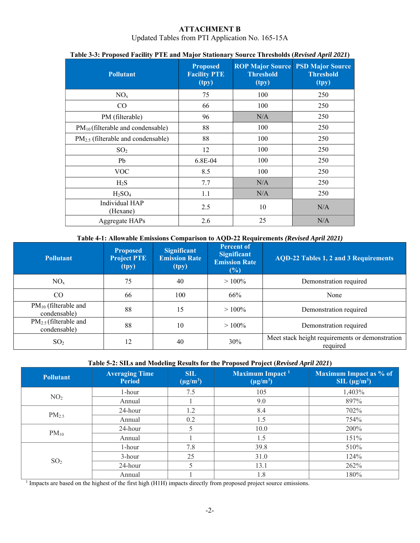# **ATTACHMENT B**

Updated Tables from PTI Application No. 165-15A

| <b>Pollutant</b>                        | <b>Proposed</b><br><b>Facility PTE</b><br>(tpy) | <b>ROP Major Source</b><br><b>Threshold</b><br>(tpy) | <b>PSD Major Source</b><br><b>Threshold</b><br>(tpy) |
|-----------------------------------------|-------------------------------------------------|------------------------------------------------------|------------------------------------------------------|
| $NO_{x}$                                | 75                                              | 100                                                  | 250                                                  |
| $\rm CO$                                | 66                                              | 100                                                  | 250                                                  |
| PM (filterable)                         | 96                                              | N/A                                                  | 250                                                  |
| $PM_{10}$ (filterable and condensable)  | 88                                              | 100                                                  | 250                                                  |
| $PM_{2.5}$ (filterable and condensable) | 88                                              | 100                                                  | 250                                                  |
| SO <sub>2</sub>                         | 12                                              | 100                                                  | 250                                                  |
| Pb                                      | $6.8E-04$                                       | 100                                                  | 250                                                  |
| <b>VOC</b>                              | 8.5                                             | 100                                                  | 250                                                  |
| $H_2S$                                  | 7.7                                             | N/A                                                  | 250                                                  |
| $H_2SO_4$                               | 1.1                                             | N/A                                                  | 250                                                  |
| Individual HAP<br>(Hexane)              | 2.5                                             | 10                                                   | N/A                                                  |
| Aggregate HAPs                          | 2.6                                             | 25                                                   | N/A                                                  |

#### **Table 3-3: Proposed Facility PTE and Major Stationary Source Thresholds (***Revised April 2021***)**

#### **Table 4-1: Allowable Emissions Comparison to AQD-22 Requirements** *(Revised April 2021)*

| <b>Pollutant</b>                           | <b>Proposed</b><br><b>Project PTE</b><br>(tpy) | <b>Significant</b><br><b>Emission Rate</b><br>(tpy) | <b>Percent of</b><br><b>Significant</b><br><b>Emission Rate</b><br>$(\%)$ | <b>AQD-22 Tables 1, 2 and 3 Requirements</b>                |
|--------------------------------------------|------------------------------------------------|-----------------------------------------------------|---------------------------------------------------------------------------|-------------------------------------------------------------|
| $NO_{x}$                                   | 75                                             | 40                                                  | $>100\%$                                                                  | Demonstration required                                      |
| $\rm CO$                                   | 66                                             | 100                                                 | 66%                                                                       | None                                                        |
| $PM_{10}$ (filterable and<br>condensable)  | 88                                             | 15                                                  | $>100\%$                                                                  | Demonstration required                                      |
| $PM_{2.5}$ (filterable and<br>condensable) | 88                                             | 10                                                  | $>100\%$                                                                  | Demonstration required                                      |
| SO <sub>2</sub>                            | 12                                             | 40                                                  | 30%                                                                       | Meet stack height requirements or demonstration<br>required |

**Table 5-2: SILs and Modeling Results for the Proposed Project (***Revised April 2021***)** 

| <b>Pollutant</b> | <b>Averaging Time</b><br><b>Period</b> | <b>SIL</b><br>$(\mu g/m^3)$ | Maximum Impact <sup>1</sup><br>$(\mu g/m^3)$ | Maximum Impact as % of<br>SIL $(\mu g/m^3)$ |  |
|------------------|----------------------------------------|-----------------------------|----------------------------------------------|---------------------------------------------|--|
| NO <sub>2</sub>  | 1-hour                                 | 7.5                         | 105                                          | 1,403%                                      |  |
|                  | Annual                                 |                             | 9.0                                          | 897%                                        |  |
| $PM_{2.5}$       | 24-hour                                | 1.2                         | 8.4                                          | 702%                                        |  |
|                  | Annual                                 | 0.2                         | 1.5                                          | 754%                                        |  |
| $PM_{10}$        | 24-hour                                |                             | 10.0                                         | 200%                                        |  |
|                  | Annual                                 |                             | 1.5                                          | 151%                                        |  |
|                  | 1-hour                                 | 7.8                         | 39.8                                         | 510\%                                       |  |
|                  | 3-hour                                 | 25                          | 31.0                                         | 124%                                        |  |
| SO <sub>2</sub>  | 24-hour                                |                             | 13.1                                         | 262%                                        |  |
|                  | Annual                                 |                             | 1.8                                          | 180%                                        |  |

 $\frac{1}{1}$  Impacts are based on the highest of the first high (H1H) impacts directly from proposed project source emissions.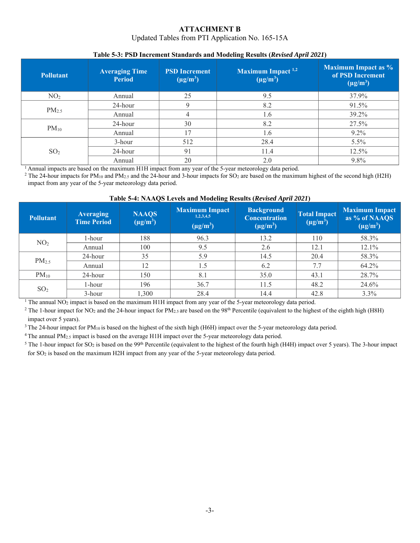## **ATTACHMENT B**

## Updated Tables from PTI Application No. 165-15A

| <b>Pollutant</b>  | <b>Averaging Time</b><br><b>Period</b> | <b>PSD</b> Increment<br>$(\mu g/m^3)$ | Maximum Impact <sup>1,2</sup><br>$(\mu g/m^3)$ | <b>Maximum Impact as %</b><br>of PSD Increment<br>$(\mu g/m^3)$ |
|-------------------|----------------------------------------|---------------------------------------|------------------------------------------------|-----------------------------------------------------------------|
| NO <sub>2</sub>   | Annual                                 | 25                                    | 9.5                                            | 37.9%                                                           |
|                   | 24-hour                                | Q                                     | 8.2                                            | 91.5%                                                           |
| PM <sub>2.5</sub> | Annual                                 |                                       | 1.6                                            | 39.2%                                                           |
|                   | 24-hour                                | 30                                    | 8.2                                            | 27.5%                                                           |
| $PM_{10}$         | Annual                                 | 17                                    | 1.6                                            | $9.2\%$                                                         |
|                   | 3-hour                                 | 512                                   | 28.4                                           | 5.5%                                                            |
| SO <sub>2</sub>   | 24-hour                                | 91                                    | 11.4                                           | 12.5%                                                           |
|                   | Annual                                 | 20                                    | 2.0                                            | 9.8%                                                            |

#### **Table 5-3: PSD Increment Standards and Modeling Results (***Revised April 2021***)**

<sup>1</sup> Annual impacts are based on the maximum H1H impact from any year of the 5-year meteorology data period.

<sup>2</sup> The 24-hour impacts for PM<sub>10</sub> and PM<sub>2.5</sub> and the 24-hour and 3-hour impacts for SO<sub>2</sub> are based on the maximum highest of the second high (H2H) impact from any year of the 5-year meteorology data period.

|  | Table 5-4: NAAQS Levels and Modeling Results (Revised April 2021) |  |  |
|--|-------------------------------------------------------------------|--|--|
|  |                                                                   |  |  |

| <b>Pollutant</b>  | <b>Averaging</b><br><b>Time Period</b> | <b>NAAQS</b><br>$(\mu g/m^3)$ | <b>Maximum Impact</b><br>1,2,3,4,5<br>$(\mu g/m^3)$ | <b>Background</b><br><b>Concentration</b><br>$(\mu g/m^3)$ | <b>Total Impact</b><br>$(\mu g/m^3)$ | <b>Maximum Impact</b><br>as % of NAAQS<br>$(\mu g/m^3)$ |
|-------------------|----------------------------------------|-------------------------------|-----------------------------------------------------|------------------------------------------------------------|--------------------------------------|---------------------------------------------------------|
| NO <sub>2</sub>   | 1-hour                                 | 188                           | 96.3                                                | 13.2                                                       | 110                                  | 58.3%                                                   |
|                   | Annual                                 | 100                           | 9.5                                                 | 2.6                                                        | 12.1                                 | 12.1%                                                   |
| PM <sub>2.5</sub> | 24-hour                                | 35                            | 5.9                                                 | 14.5                                                       | 20.4                                 | 58.3%                                                   |
|                   | Annual                                 | 12                            | 1.5                                                 | 6.2                                                        | 7.7                                  | 64.2%                                                   |
| $PM_{10}$         | 24-hour                                | 150                           | 8.1                                                 | 35.0                                                       | 43.1                                 | 28.7%                                                   |
| SO <sub>2</sub>   | 1-hour                                 | 196                           | 36.7                                                | 11.5                                                       | 48.2                                 | 24.6%                                                   |
|                   | 3-hour                                 | 1,300                         | 28.4                                                | 14.4                                                       | 42.8                                 | 3.3%                                                    |

<sup>1</sup> The annual NO<sub>2</sub> impact is based on the maximum H1H impact from any year of the 5-year meteorology data period.

<sup>2</sup> The 1-hour impact for NO<sub>2</sub> and the 24-hour impact for PM<sub>2.5</sub> are based on the 98<sup>th</sup> Percentile (equivalent to the highest of the eighth high (H8H) impact over 5 years).

 $3$  The 24-hour impact for PM<sub>10</sub> is based on the highest of the sixth high (H6H) impact over the 5-year meteorology data period.

<sup>4</sup> The annual PM<sub>2.5</sub> impact is based on the average H1H impact over the 5-year meteorology data period.

<sup>5</sup> The 1-hour impact for SO<sub>2</sub> is based on the 99<sup>th</sup> Percentile (equivalent to the highest of the fourth high (H4H) impact over 5 years). The 3-hour impact for SO2 is based on the maximum H2H impact from any year of the 5-year meteorology data period.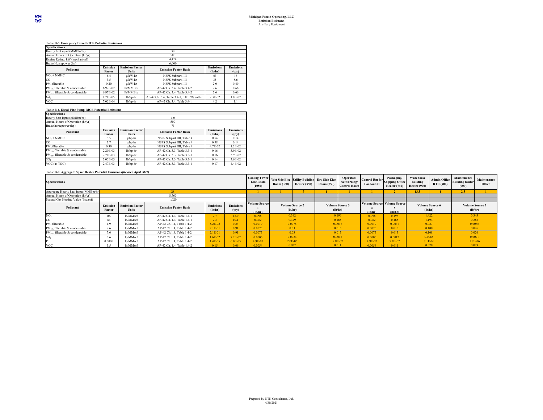#### **Table B-5. Emergency Diesel RICE Potential Emissions**

| <b>Specifications</b>                       |          |                        |                                            |                  |                    |  |  |  |  |  |
|---------------------------------------------|----------|------------------------|--------------------------------------------|------------------|--------------------|--|--|--|--|--|
| Hourly heat input (MMBtu/hr)                |          | 38                     |                                            |                  |                    |  |  |  |  |  |
| Annual Hours of Operation (hr/yr)           |          |                        | 500                                        |                  |                    |  |  |  |  |  |
| Engine Rating, kW (mechanical)              |          |                        | 4.474                                      |                  |                    |  |  |  |  |  |
| Brake Horsepower (hp)                       |          |                        | 6,000                                      |                  |                    |  |  |  |  |  |
| Pollutant                                   | Emission | <b>Emission Factor</b> | <b>Emission Factor Basis</b>               | <b>Emissions</b> | <b>Emissions</b>   |  |  |  |  |  |
|                                             | Factor   | <b>Units</b>           |                                            | (lb/hr)          | (f <sub>DV</sub> ) |  |  |  |  |  |
| NO <sub>x</sub> + NMHC                      | 6.4      | g/kW-hr                | <b>NSPS Subpart IIII</b>                   | 63               |                    |  |  |  |  |  |
| <b>CO</b>                                   | 3.5      | g/kW-hr                | NSPS Subpart IIII                          | 35               | 8.6                |  |  |  |  |  |
| PM, filterable                              | 0.20     | g/kW-hr                | NSPS Subpart IIII                          | 2.0              | 0.49               |  |  |  |  |  |
| PM <sub>10</sub> , filterable & condensable | 6.97E-02 | lb/MMBtu               | AP-42 Ch. 3.4. Table 3.4-2                 | 2.6              | 0.66               |  |  |  |  |  |
| PM <sub>25</sub> , filterable & condensable | 6.97E-02 | lb/MMBtu               | AP-42 Ch. 3.4. Table 3.4-2                 | 2.6              | 0.66               |  |  |  |  |  |
| <b>SO-</b>                                  | 1.21E-05 | lb/hp-hr               | AP-42 Ch. 3.4. Table 3.4-1, 0.0015% sulfur | $7.3E - 02$      | 1 RE-02            |  |  |  |  |  |
| <b>VOC</b>                                  | 7.05E-04 | lb/hp-hr               | AP-42 Ch. 3.4. Table 3.4-1                 | 4.2              |                    |  |  |  |  |  |

#### **Table B-6. Diesel Fire Pump RICE Potential Emissions**

| <b>Specifications</b>                       |          |                        |                              |                  |                    |  |  |  |  |  |  |  |
|---------------------------------------------|----------|------------------------|------------------------------|------------------|--------------------|--|--|--|--|--|--|--|
| Hourly heat input (MMBtu/hr)                |          |                        | $\overline{0}$               |                  |                    |  |  |  |  |  |  |  |
| Annual Hours of Operation (hr/yr)           |          | 500                    |                              |                  |                    |  |  |  |  |  |  |  |
| Brake horsepower (hp)                       |          |                        |                              |                  |                    |  |  |  |  |  |  |  |
| Pollutant                                   | Emission | <b>Emission Factor</b> | <b>Emission Factor Basis</b> | <b>Emissions</b> | <b>Emissions</b>   |  |  |  |  |  |  |  |
|                                             | Factor   | <b>Units</b>           |                              | (lb/hr)          | (t <sub>D</sub> v) |  |  |  |  |  |  |  |
| NO <sub>x</sub> + NMHC                      | 3.5      | $g/hp-hr$              | NSPS Subpart IIII. Table 4   | 0.54             | 0.14               |  |  |  |  |  |  |  |
| <b>CO</b>                                   | 3.7      | $g/hp-hr$              | NSPS Subpart IIII, Table 4   | 0.58             | 0.14               |  |  |  |  |  |  |  |
| PM, filterable                              | 0.30     | g/hp-hr                | NSPS Subpart IIII, Table 4   | 4.7F-02          | $1.2E - 02$        |  |  |  |  |  |  |  |
| PM <sub>10</sub> , filterable & condensable | 2.20E-03 | lb/hp-hr               | AP-42 Ch. 3.3. Table 3.3-1   | 0.16             | 3.9E-02            |  |  |  |  |  |  |  |
| PM <sub>25</sub> , filterable & condensable | 2.20E-03 | lb/hp-hr               | AP-42 Ch. 3.3, Table 3.3-1   | 0.16             | 3.9E-02            |  |  |  |  |  |  |  |
| SO-                                         | 2.05E-03 | lb/hp-hr               | AP-42 Ch. 3.3. Table 3.3-1   | 0.14             | 3.6E-02            |  |  |  |  |  |  |  |
| VOC (as TOC)                                | 2.47E-03 | lb/hp-hr               | AP-42 Ch. 3.3. Table 3.3-1   | 0.17             | 4.4E-02            |  |  |  |  |  |  |  |

#### **Table B-7. Aggregate Space Heater Potential Emissions** *(Revised April 2021)*

| <b>Specifications</b>                       |                    |                                        |                              |                             |                           | <b>Cooling Tower</b><br><b>Elec Room</b><br>(1050) | Room (350) | Heater (350)                      | Wet Side Elec Utility Building Dry Side Elec<br>Room (750) | Operator/<br>Networking/<br><b>Control Room</b> |         | Packaging/<br>Control Rm for Shipping Office<br>Heater (740) | Warehouse<br><b>Building</b><br>Heater (900) | Admin Office Building heater<br><b>RTU</b> (900) | Maintenance<br>(900) | Maintenance<br>Office             |
|---------------------------------------------|--------------------|----------------------------------------|------------------------------|-----------------------------|---------------------------|----------------------------------------------------|------------|-----------------------------------|------------------------------------------------------------|-------------------------------------------------|---------|--------------------------------------------------------------|----------------------------------------------|--------------------------------------------------|----------------------|-----------------------------------|
| Aggregate Hourly heat input (MMBtu/hr)      |                    |                                        |                              |                             |                           |                                                    |            |                                   |                                                            |                                                 |         |                                                              | 13.5                                         |                                                  | 2.5                  |                                   |
| Annual Hours of Operation (hr/yr)           |                    |                                        | 8.760                        |                             |                           |                                                    |            |                                   |                                                            |                                                 |         |                                                              |                                              |                                                  |                      |                                   |
| Natural Gas Heating Value (Btu/scf)         |                    |                                        | 1,020                        |                             |                           |                                                    |            |                                   |                                                            |                                                 |         |                                                              |                                              |                                                  |                      |                                   |
| Pollutant                                   | Emission<br>Factor | <b>Emission Factor</b><br><b>Units</b> | <b>Emission Factor Basis</b> | <b>Emissions</b><br>(lb/hr) | <b>Emissions</b><br>(tpy) | <b>Volume Source</b><br>(lb/hr)                    |            | <b>Volume Source 2</b><br>(lb/hr) |                                                            | <b>Volume Source 3</b><br>(lb/hr)               | (lb/hr) | <b>Volume Source Volume Source</b><br>(lb/hr)                |                                              | <b>Volume Source 6</b><br>(lb/hr)                |                      | <b>Volume Source 7</b><br>(lb/hr) |
| NO <sub>x</sub>                             | 100                | lb/MMscf                               | AP-42 Ch. 1.4. Table 1.4-1   | 2.7                         | 12.0                      | 0.098                                              |            | 0.392                             | 0.196                                                      |                                                 | 0.098   | 0.196                                                        |                                              | 1.422                                            |                      | 0.343                             |
| $_{\rm CO}$                                 | 84                 | lb/MMscf                               | AP-42 Ch. 1.4. Table 1.4-1   | 2.3                         | 10.1                      | 0.082                                              |            | 0.329                             | 0.165                                                      |                                                 | 0.082   | 0.165                                                        |                                              | 1.194                                            |                      | 0.288                             |
| PM, filterable                              | 1.9                | lb/MMscf                               | AP-42 Ch.1.4. Table 1.4-2    | $5.2E - 02$                 | 0.23                      | 0.0019                                             |            | 0.0075                            | 0.0037                                                     |                                                 | 0.0019  | 0.0037                                                       |                                              | 0.027                                            |                      | 0.0065                            |
| PM <sub>10</sub> , filterable & condensable | 7.6                | lb/MMscf                               | AP-42 Ch.1.4, Table 1.4-2    | $2.1E-01$                   | 0.91                      | 0.0075                                             |            | 0.03                              | 0.015                                                      |                                                 | 0.0075  | 0.015                                                        |                                              | 0.108                                            |                      | 0.026                             |
| $PM_2$ , filterable & condensable           | 7.6                | lb/MMscf                               | AP-42 Ch.1.4. Table 1.4-2    | $2.1E-01$                   | 0.91                      | 0.0075                                             |            | 0.03                              | 0.015                                                      |                                                 | 0.0075  | 0.015                                                        |                                              | 0.108                                            |                      | 0.026                             |
| SO <sub>2</sub>                             | 0.6                | lb/MMscf                               | AP-42 Ch.1.4. Table 1.4-2    | 1.6E-02                     | $7.2E - 02$               | 0.0006                                             |            | 0.0024                            | 0.0012                                                     |                                                 | 0.0006  | 0.0012                                                       |                                              | 0.0085                                           |                      | 0.0021                            |
| Pb                                          | 0.0005             | lb/MMscf                               | AP-42 Ch.1.4. Table 1.4-2    | $1.4E-05$                   | $6.0E-05$                 | 4.9E-07                                            |            | $2.0E-06$                         |                                                            | 9.8E-07                                         | 4.9E-07 | 9.8E-07                                                      |                                              | 7.1E-06                                          |                      | 1.7E-06                           |
| <b>VOC</b>                                  | 5.5                | lb/MMscf                               | AP-42 Ch. 1.4. Table 1.4-2   | 0.15                        | 0.66                      | 0.0054                                             |            | 0.022                             |                                                            | 0.011                                           | 0.0054  | 0.011                                                        |                                              | 0.078                                            |                      | 0.019                             |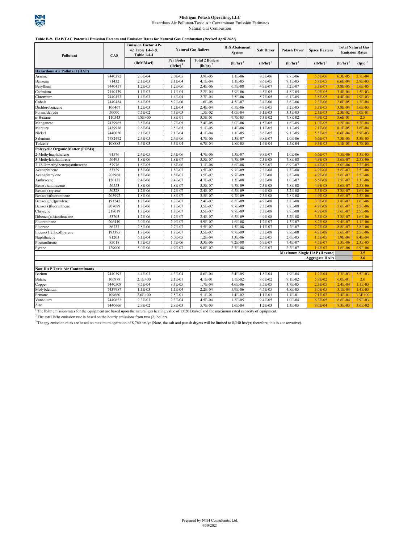**Michigan Potash Operating, LLC** Hazardous Air Pollutant/Toxic Air Contaminant Emission Estimates

Natural Gas Combustion

#### **Table B-9. HAP/TAC Potential Emission Factors and Emission Rates for Natural Gas Combustion** *(Revised April 2021)*

| Pollutant                                                                                                                                                                                                                                         | CAS     | <b>Emission Factor AP-</b><br>42 Table 1.4-3 &<br><b>Table 1.4-4</b> |                       | <b>Natural Gas Boilers</b>            | H <sub>2</sub> S Abatement<br><b>System</b> | <b>Salt Dryer</b> | <b>Potash Dryer</b> | <b>Space Heaters</b>               |             | <b>Total Natural Gas</b><br><b>Emission Rates</b> |
|---------------------------------------------------------------------------------------------------------------------------------------------------------------------------------------------------------------------------------------------------|---------|----------------------------------------------------------------------|-----------------------|---------------------------------------|---------------------------------------------|-------------------|---------------------|------------------------------------|-------------|---------------------------------------------------|
|                                                                                                                                                                                                                                                   |         | (lb/MMscf)                                                           | Per Boiler<br>(lb/hr) | <b>Total 2 Boilers</b><br>$(lb/hr)^2$ | $(lb/hr)^{-1}$                              | $(lb/hr)^{-1}$    | $(lb/hr)^{-1}$      | $(lb/hr)^{-1}$                     | (lb/hr)     | $(hpy)^3$                                         |
| <b>Hazardous Air Pollutant (HAP)</b>                                                                                                                                                                                                              |         |                                                                      |                       |                                       |                                             |                   |                     |                                    |             |                                                   |
| Arsenic                                                                                                                                                                                                                                           | 7440382 | 2.0E-04                                                              | 2.0E-05               | 3.9E-05                               | 1.1E-06                                     | 8.2E-06           | 8.7E-06             | 5.5E-06                            | 6.3E-05     | 2.7E-04                                           |
| Benzene                                                                                                                                                                                                                                           | 71432   | 2.1E-03                                                              | 2.1E-04               | 4.1E-04                               | 1.1E-05                                     | 8.6E-05           | 9.1E-05             | 5.8E-05                            | 6.6E-04     | 2.9E-03                                           |
| Beryllium                                                                                                                                                                                                                                         | 7440417 | $1.2E-05$                                                            | $1.2E-06$             | 2.4E-06                               | 6.5E-08                                     | 4.9E-07           | 5.2E-07             | 3.3E-07                            | 3.8E-06     | 1.6E-05                                           |
| Cadmium                                                                                                                                                                                                                                           | 7440439 | 1.1E-03                                                              | $1.1E-04$             | 2.2E-04                               | 5.9E-06                                     | 4.5E-05           | 4.8E-05             | 3.0E-05                            | 3.4E-04     | 1.5E-03                                           |
| Chromium                                                                                                                                                                                                                                          | 7440473 | $1.4E-03$                                                            | $1.4E-04$             | 2.7E-04                               | 7.5E-06                                     | 5.7E-05           | 6.1E-05             | 3.8E-05                            | 4.4E-04     | 1.9E-03                                           |
| Cobalt                                                                                                                                                                                                                                            | 7440484 | 8.4E-05                                                              | 8.2E-06               | 1.6E-05                               | 4.5E-07                                     | 3.4E-06           | 3.6E-06             | $2.3E-06$                          | $2.6E - 05$ | $1.2E - 04$                                       |
| Dichlorobenzene                                                                                                                                                                                                                                   | 106467  | 1.2E-03                                                              | 1.2E-04               | 2.4E-04                               | 6.5E-06                                     | 4.9E-05           | 5.2E-05             | 3.3E-05                            | 3.8E-04     | $1.6E-03$                                         |
| Formaldehyde                                                                                                                                                                                                                                      | 50000   | 7.5E-02                                                              | 7.3E-03               | 1.5E-02                               | 4.0E-04                                     | 3.1E-03           | 3.3E-03             | $2.1E-03$                          | $2.3E-02$   | $1.0E - 01$                                       |
| 1-Hexane                                                                                                                                                                                                                                          | 110543  | $1.8E + 00$                                                          | 1.8E-01               | 3.5E-01                               | 9.7E-03                                     | 7.3E-02           | 7.8E-02             | 4.9E-02                            | 5.6E-01     | 2.5                                               |
| Manganese                                                                                                                                                                                                                                         | 7439965 | 3.8E-04                                                              | 3.7E-05               | 7.4E-05                               | 2.0E-06                                     | 1.5E-05           | 1.6E-05             | $1.0E - 05$                        | $1.2E - 04$ | 5.2E-04                                           |
| Mercury                                                                                                                                                                                                                                           | 7439976 | 2.6E-04                                                              | 2.5E-05               | 5.1E-05                               | 1.4E-06                                     | $1.1E-05$         | 1.1E-05             | 7.1E-06                            | 8.1E-05     | 3.6E-04                                           |
| Nickel                                                                                                                                                                                                                                            | 7440020 | 2.1E-03                                                              | $2.1E-04$             | 4.1E-04                               | $1.1E-05$                                   | 8.6E-05           | 9.1E-05             | 5.8E-05                            | 6.6E-04     | 2.9E-03                                           |
| Selenium                                                                                                                                                                                                                                          | 7782492 | 2.4E-05                                                              | 2.4E-06               | 4.7E-06                               | 1.3E-07                                     | 9.8E-07           | 1.0E-06             | 6.6E-07                            | 7.5E-06     | 3.3E-05                                           |
| Toluene                                                                                                                                                                                                                                           | 108883  | 3.4E-03                                                              | 3.3E-04               | 6.7E-04                               | 1.8E-05                                     | 1.4E-04           | 1.5E-04             | 9.3E-05                            | $1.1E-03$   | 4.7E-03                                           |
| Polycyclic Organic Matter (POMs)                                                                                                                                                                                                                  |         |                                                                      |                       |                                       |                                             |                   |                     |                                    |             |                                                   |
| 2-Methylnaphthalene                                                                                                                                                                                                                               | 91576   | 2.4E-05                                                              | 2.4E-06               | 4.7E-06                               | 1.3E-07                                     | 9.8E-07           | 1.0E-06             | 6.6E-07                            | 7.5E-06     | 3.3E-05                                           |
| 3-Methylcholanthrene                                                                                                                                                                                                                              | 56495   | 1.8E-06                                                              | 1.8E-07               | 3.5E-07                               | 9.7E-09                                     | 7.3E-08           | 7.8E-08             | 4.9E-08                            | 5.6E-07     | 2.5E-06                                           |
| 7,12-Dimethylbenz(a)anthracene                                                                                                                                                                                                                    | 57976   | 1.6E-05                                                              | 1.6E-06               | 3.1E-06                               | 8.6E-08                                     | 6.5E-07           | 6.9E-07             | 4.4E-07                            | 5.0E-06     | $2.2E-05$                                         |
| Acenaphthene                                                                                                                                                                                                                                      | 83329   | 1.8E-06                                                              | 1.8E-07               | 3.5E-07                               | 9.7E-09                                     | 7.3E-08           | 7.8E-08             | 4.9E-08                            | 5.6E-07     | 2.5E-06                                           |
| Acenaphthylene                                                                                                                                                                                                                                    | 208968  | 1.8E-06                                                              | 1.8E-07               | 3.5E-07                               | 9.7E-09                                     | 7.3E-08           | 7.8E-08             | 4.9E-08                            | 5.6E-07     | 2.5E-06                                           |
| Anthracene                                                                                                                                                                                                                                        | 120127  | 2.4E-06                                                              | 2.4E-07               | 4.7E-07                               | 1.3E-08                                     | 9.8E-08           | 1.0E-07             | 6.6E-08                            | 7.5E-07     | 3.3E-06                                           |
| Benz(a)anthracene                                                                                                                                                                                                                                 | 56553   | 1.8E-06                                                              | 1.8E-07               | 3.5E-07                               | 9.7E-09                                     | 7.3E-08           | 7.8E-08             | 4.9E-08                            | 5.6E-07     | 2.5E-06                                           |
| Benzo(a)pyrene                                                                                                                                                                                                                                    | 50328   | 1.2E-06                                                              | $1.2E - 07$           | 2.4E-07                               | 6.5E-09                                     | 4.9E-08           | 5.2E-08             | 3.3E-08                            | 3.8E-07     | 1.6E-06                                           |
| Benzo(b)fluoranthene                                                                                                                                                                                                                              | 205992  | 1.8E-06                                                              | 1.8E-07               | 3.5E-07                               | 9.7E-09                                     | 7.3E-08           | 7.8E-08             | 4.9E-08                            | 5.6E-07     | 2.5E-06                                           |
| Benzo(g,h,i)perylene                                                                                                                                                                                                                              | 191242  | 1.2E-06                                                              | 1.2E-07               | 2.4E-07                               | 6.5E-09                                     | 4.9E-08           | 5.2E-08             | 3.3E-08                            | 3.8E-07     | 1.6E-06                                           |
| Benzo(k)fluoranthene                                                                                                                                                                                                                              | 207089  | 1.8E-06                                                              | 1.8E-07               | 3.5E-07                               | 9.7E-09                                     | 7.3E-08           | 7.8E-08             | 4.9E-08                            | 5.6E-07     | 2.5E-06                                           |
| Chrysene                                                                                                                                                                                                                                          | 218019  | 1.8E-06                                                              | 1.8E-07               | 3.5E-07                               | 9.7E-09                                     | 7.3E-08           | 7.8E-08             | 4.9E-08                            | 5.6E-07     | 2.5E-06                                           |
| Dibenzo(a,h)anthracene                                                                                                                                                                                                                            | 53703   | 1.2E-06                                                              | 1.2E-07               | 2.4E-07                               | 6.5E-09                                     | 4.9E-08           | 5.2E-08             | 3.3E-08                            | 3.8E-07     | 1.6E-06                                           |
| <b>Iuoranthene</b>                                                                                                                                                                                                                                | 206440  | 3.0E-06                                                              | 2.9E-07               | 5.9E-07                               | 1.6E-08                                     | 1.2E-07           | 1.3E-07             | 8.2E-08                            | 9.4E-07     | 4.1E-06                                           |
| Fluorene                                                                                                                                                                                                                                          | 86737   | 2.8E-06                                                              | 2.7E-07               | 5.5E-07                               | 1.5E-08                                     | 1.1E-07           | 1.2E-07             | 7.7E-08                            | 8.8E-07     | 3.8E-06                                           |
| Indeno(1,2,3,c,d)pyrene                                                                                                                                                                                                                           | 193395  | 1.8E-06                                                              | 1.8E-07               | 3.5E-07                               | 9.7E-09                                     | 7.3E-08           | 7.8E-08             | 4.9E-08                            | 5.6E-07     | 2.5E-06                                           |
| Naphthalene                                                                                                                                                                                                                                       | 91203   | $6.1E-04$                                                            | 6.0E-05               | $1.2E - 04$                           | 3.3E-06                                     | 2.5E-05           | 2.6E-05             | 1.7E-05                            | 1.9E-04     | 8.4E-04                                           |
| Phenanthrene                                                                                                                                                                                                                                      | 85018   | 1.7E-05                                                              | 1.7E-06               | 3.3E-06                               | 9.2E-08                                     | 6.9E-07           | 7.4E-07             | 4.7E-07                            | 5.3E-06     | $2.3E-0.5$                                        |
| Pyrene                                                                                                                                                                                                                                            | 129000  | 5.0E-06                                                              | 4.9E-07               | 9.8E-07                               | 2.7E-08                                     | 2.0E-07           | 2.2E-07             | 1.4E-07                            | $1.6E - 06$ | 6.9E-06                                           |
|                                                                                                                                                                                                                                                   |         |                                                                      |                       |                                       |                                             |                   |                     | <b>Maximum Single HAP (Hexane)</b> |             | 2.5                                               |
|                                                                                                                                                                                                                                                   |         |                                                                      |                       |                                       |                                             |                   |                     | <b>Aggregate HAPs</b>              |             | 2.6                                               |
| <b>Non-HAP Toxic Air Contaminants</b>                                                                                                                                                                                                             |         |                                                                      |                       |                                       |                                             |                   |                     |                                    |             |                                                   |
| Barium                                                                                                                                                                                                                                            | 7440393 | 4.4E-03                                                              | 4.3E-04               | 8.6E-04                               | 2.4E-05                                     | 1.8E-04           | 1.9E-04             | $1.2E-04$                          | 1.3E-03     | 5.5E-03                                           |
| Butane                                                                                                                                                                                                                                            | 106978  | $2.1E + 00$                                                          | 2.1E-01               | 4.1E-01                               | 1.1E-02                                     | 8.6E-02           | 9.1E-02             | 5.8E-02                            | $6.0E-01$   | 2.6                                               |
| Copper                                                                                                                                                                                                                                            | 7440508 | 8.5E-04                                                              | 8.3E-05               | 1.7E-04                               | 4.6E-06                                     | 3.5E-05           | 3.7E-05             | 2.3E-05                            | $2.4E - 04$ | $1.1E-03$                                         |
| Molybdenum                                                                                                                                                                                                                                        | 7439987 | 1.1E-03                                                              | $1.1E-04$             | 2.2E-04                               | 5.9E-06                                     | 4.5E-05           | 4.8E-05             | 3.0E-05                            | $3.1E-04$   | $1.4E-03$                                         |
| Pentane                                                                                                                                                                                                                                           | 109660  | $2.6E + 00$                                                          | 2.5E-01               | 5.1E-01                               | 1.4E-02                                     | 1.1E-01           | 1.1E-01             | 7.1E-02                            | 7.4E-01     | $3.3E + 00$                                       |
| Vanadium                                                                                                                                                                                                                                          | 7440622 | 2.3E-03                                                              | 2.3E-04               | 4.5E-04                               | $1.2E - 0.5$                                | 9.4E-05           | $1.0E-04$           | 6.3E-05                            | $6.6E-04$   | 2.9E-03                                           |
|                                                                                                                                                                                                                                                   |         |                                                                      |                       |                                       |                                             |                   |                     | 8.0E-04                            |             |                                                   |
| Zinc                                                                                                                                                                                                                                              | 7440666 | 2.9E-02                                                              | 2.8E-03               | 5.7E-03                               | 1.6E-04                                     | 1.2E-03           | 1.3E-03             |                                    | 8.3E-03     | $3.6E - 02$                                       |
| The lb/hr emission rates for the equipment are based upon the natural gas heating value of 1,020 Btu/scf and the maximum rated capacity of equipment.<br>$2$ The total lb/hr emission rate is based on the hourly emissions from two (2) boilers. |         |                                                                      |                       |                                       |                                             |                   |                     |                                    |             |                                                   |

<sup>3</sup> The tpy emission rates are based on maximum operation of 8,760 hrs/yr (Note, the salt and potash dryers will be limited to 8,340 hrs/yr; therefore, this is conservative).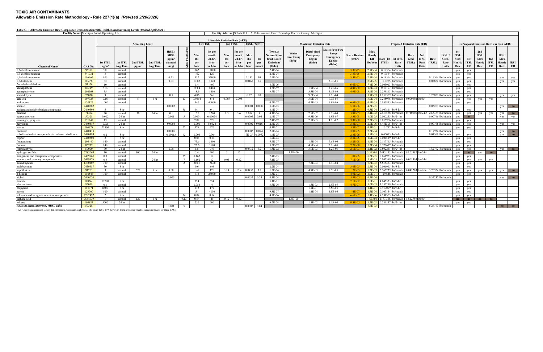#### **TOXIC AIR CONTAMINANTSAllowable Emission Rate Methodology - Rule 227(1)(a)** *(Revised 2/20/2020)*

**Table C-1. Allowable Emission Rate Compliance Demonstration with Health Based Screening Levels (***Revised April 2021* **)**

| Facility Name: Michigan Potash Operating, LLC        |         |                        |                  |                        |                 |                        |      |        |                |                                      |                      |                     |                      | Facility Address: Schofield Rd. & 120th Avenue, Evart Township, Osceola County, Michigan |             |                              |                   |                      |             |                             |                      |                                               |              |                                                        |             |                |                                          |                              |                |                |                |
|------------------------------------------------------|---------|------------------------|------------------|------------------------|-----------------|------------------------|------|--------|----------------|--------------------------------------|----------------------|---------------------|----------------------|------------------------------------------------------------------------------------------|-------------|------------------------------|-------------------|----------------------|-------------|-----------------------------|----------------------|-----------------------------------------------|--------------|--------------------------------------------------------|-------------|----------------|------------------------------------------|------------------------------|----------------|----------------|----------------|
|                                                      |         |                        |                  |                        |                 |                        |      |        |                |                                      |                      |                     |                      |                                                                                          |             |                              |                   |                      |             |                             |                      |                                               |              |                                                        |             |                |                                          |                              |                |                |                |
|                                                      |         |                        |                  |                        |                 |                        |      |        |                | <b>Allowable Emission Rate (AER)</b> |                      |                     |                      |                                                                                          |             |                              |                   |                      |             |                             |                      |                                               |              |                                                        |             |                |                                          |                              |                |                |                |
|                                                      |         |                        |                  | <b>Screening Level</b> |                 |                        |      |        | 1st ITSL       | 2nd ITSL                             |                      |                     | <b>IRSL/SRSL</b>     |                                                                                          |             | <b>Maximum Emission Rate</b> |                   |                      |             |                             |                      | <b>Proposed Emission Rate (ER)</b>            |              |                                                        |             |                | Is Proposed Emission Rate less than AER? |                              |                |                |                |
|                                                      |         |                        |                  |                        |                 |                        |      |        |                |                                      |                      |                     |                      |                                                                                          |             |                              | Diesel-fired Fire |                      |             |                             |                      |                                               |              |                                                        |             |                |                                          |                              |                |                |                |
|                                                      |         |                        |                  |                        |                 | IRSL                   |      |        | lbs per        |                                      | lbs per              |                     |                      | Two $(2)$                                                                                | Water       | Diesel-fired                 | Pump              |                      | Max         |                             |                      |                                               |              |                                                        |             | 1st            | 2nd                                      |                              |                |                |                |
|                                                      |         |                        |                  |                        |                 | <b>SRSL</b>            |      | Max    | month.         | Max                                  | nonth,               | Max                 |                      | <b>Natural Gas-</b>                                                                      | Sweetening  | Emergency                    | Emergency         | <b>Space Heaters</b> | Hourly      |                             |                      | Rate                                          | 2nd          |                                                        | <b>IRSL</b> | <b>ITSL</b>    | <b>ITSL</b>                              |                              |                | <b>IRSL</b>    |                |
|                                                      |         |                        |                  |                        |                 | $\mu$ g/m <sup>3</sup> |      | lbs    | 24-hr,         | lbs                                  | 24-hr,               | <b>lbs</b>          | lbs                  | fired Boiler                                                                             | (lb/hr)     | Engine                       | Engine            | (lb/hr)              | ER          |                             | Rate (1st 1st ITSL   | (2nd)                                         | <b>ITSL</b>  | Rate                                                   | <b>SRSL</b> | Max            | 1st<br>Max                               |                              | 2nd            | Max            |                |
|                                                      |         | 1st ITSL               | 1st ITSL         | 2nd ITSL               | 2nd ITSI        | (annual                |      | per    | 8-hr           | per                                  | 8-hr                 | per                 | per                  | <b>Emissions</b>                                                                         |             | (lb/hr)                      | (lb/hr)           |                      | lbs/hour    | ITSL)                       | Rate                 | <b>ITSL)</b>                                  | Rate         | (IRSL)                                                 | Rate        | Hourly         | <b>ITSL</b>                              | <b>Hourly</b><br><b>ITSL</b> |                | Hourly IRSL    |                |
| <b>Chemical Name</b>                                 | CAS No. | $\mu$ g/m <sup>3</sup> | Avg Time         | $\mu$ g/m <sup>3</sup> | <b>Avg Time</b> | Avg)                   |      | hour   | or 1-hr        | hour                                 | or 1-hr              | hour                | month                | (lb/hr)                                                                                  |             |                              |                   |                      |             |                             | <b>Units</b>         |                                               | <b>Units</b> |                                                        | Units       | Rate           | ER<br>Rate                               |                              | ER             | Rate           | ER             |
| ,2-dichlorobenzene                                   | 95501   | 300                    | annual           |                        |                 |                        |      | 162    | 12000          |                                      |                      |                     |                      | $2.4E-04$                                                                                |             |                              |                   | $3.3E-0.5$           | $2.7E-04$   |                             | 0.19564 lbs/month    |                                               |              |                                                        |             | yes            | yes                                      |                              |                |                |                |
| 3-dichlorobenzene                                    | 541731  | $\overline{3}$         | annual           |                        |                 |                        |      | 1.62   | 120            |                                      |                      |                     |                      | $2.4E-04$                                                                                |             |                              |                   | $3.3E-0.5$           | $2.7E-04$   |                             | $0.19564$ lbs/month  |                                               |              |                                                        |             | ves            | ves                                      |                              |                |                |                |
| 4-dichlorobenzene                                    | 106467  | 800                    | annual           |                        |                 | 0.25                   |      | 432    | 32000          |                                      |                      | 0.135               | 10                   | $2.4E-04$                                                                                |             |                              |                   | $3.3E-0.5$           | $2.7E-04$   |                             | $0.19564$ lbs/month  |                                               |              | $0.19564$ lbs/month                                    |             | yes            | yes                                      |                              |                | yes            | yes            |
| 3-butadiene                                          | 106990  | 33                     | annual           |                        |                 | 0.03                   |      | 17.82  | 1320           |                                      |                      | 0.0162              | 1.2                  |                                                                                          |             |                              | 3.9E-05           |                      | 3.9E-05     |                             | $0.0285$ lbs/month   |                                               |              | $0.02854$ lbs/month                                    |             | yes            | yes                                      |                              |                | ves            | yes            |
| !-methylnaphthalene                                  | 91576   | 10                     | annual           |                        |                 |                        |      | 5.4    | 400            |                                      |                      |                     |                      | 4.7E-06                                                                                  |             |                              |                   | 6.6E-07              | 5.4E-06     |                             | 0.003913 lbs/month   |                                               |              |                                                        |             | yes            | yes                                      |                              |                |                |                |
| acenaphthene                                         | 83329   | 210                    | annual           |                        |                 |                        |      | 113.4  | 8400           |                                      |                      |                     |                      | 3.5E-07                                                                                  |             | 1.8E-04                      | 1.4E-06           | 4.9E-08              | 1.8E-04     |                             | $0.13107$ lbs/month  |                                               |              |                                                        |             | yes            | yes                                      |                              |                |                |                |
| acenaphthylene                                       | 208968  | 35                     | annual           |                        |                 |                        |      | 18.9   | 1400           |                                      |                      |                     |                      | 3.5E-07                                                                                  |             | 3.5E-04                      | 5.1E-06           | 4.9E-08              | $3.6E-04$   |                             | 0.259863 lbs/month   |                                               |              |                                                        |             | yes            | yes                                      |                              |                |                |                |
| acetaldehyde                                         | 75070   | - 9                    | annual           |                        |                 | $0.5^{\circ}$          |      | 4.86   | 360            |                                      |                      |                     | $0.27$ 20            |                                                                                          |             | 9.6E-04                      | 7.7E-04           |                      | $1.7E-03$   |                             | 1.258509 lbs/month   |                                               |              | 1.25851 lbs/month                                      |             | yes            | yes                                      |                              |                | yes            | yes            |
| acrolein                                             | 107028  | 0.16                   | annual           |                        | 1 <sub>hr</sub> |                        | -13  | 0.0864 | 6.4            |                                      | $0.005 \qquad 0.005$ |                     |                      |                                                                                          |             | 3.0E-04                      | 9.3E-05           |                      | 3.9E-04     |                             |                      | 0.285976 lbs/month 0.000392 lbs/hr            |              |                                                        |             | ves            | yes                                      | yes                          | ves            |                |                |
| anthracene                                           | 120127  | 1000                   | annual           |                        |                 |                        |      | 540    | 40000          |                                      |                      |                     |                      | 4.7E-07                                                                                  |             | 4.7E-05                      | 1.9E-06           | 6.6E-08              | 4.9E-05     |                             | 0.035855 lbs/month   |                                               |              |                                                        |             | yes            | yes                                      |                              |                |                |                |
| arsenic                                              | 7440382 |                        |                  |                        |                 | 0.0002                 |      |        |                |                                      |                      |                     | $0.0001 \quad 0.008$ | 3.9E-05                                                                                  |             |                              |                   | 5.5E-06              | 4.5E-05     |                             |                      |                                               |              | $0.03261$ lbs/month                                    |             |                |                                          |                              |                | yes            | n <sub>0</sub> |
| barium and soluble barium compounds                  | 7440393 | - 5                    | 8 hr             |                        |                 |                        | 35   | 0.1    | 0.1            |                                      |                      |                     |                      | 8.6E-04                                                                                  |             |                              |                   | $1.2E-04$            | $9.8E-04$   | 0.007861 lbs/8-hr           |                      |                                               |              |                                                        |             | yes            | yes                                      |                              |                |                |                |
| benzene                                              | 71432   | 30                     | annual           | 30                     | 24 hr           | 0.1                    |      | 16.2   | 1200           | 1.5                                  | 3.6                  | 0.054               |                      | $4.1E - 04$                                                                              |             | $2.9E-02$                    | $9.3E - 04$       | $5.8E-05$            | $3.1E-02$   |                             |                      |                                               |              | 22.53588 lbs/month 0.740906 lbs/24-1 22.5359 lbs/month |             | yes            | yes                                      | yes                          | yes            | yes            | n <sub>0</sub> |
| $benzo(a)$ pyrene                                    | 50328   | 0.002                  | 24 hr            |                        |                 | 0.001                  | -5   | 0.0001 | 0.00024        |                                      |                      | 0.0005              | 0.04                 | 2.4E-07                                                                                  |             | 9.8E-06                      | 1.9E-07           | 3.3E-08              | $1.0E-05$   |                             | 0.000245 lbs/24-hr   |                                               |              | $0.00746$ lbs/month                                    |             | yes            | $\mathbf{n}$                             |                              |                | yes            | yes            |
| $benzo(g,h,i)$ per ylene                             | 191242  | 13                     | annual           |                        |                 |                        |      | 7.02   | 520            |                                      |                      |                     |                      | $2.4E - 07$                                                                              |             | $2.1E-0.5$                   | 4.9E-07           | $3.3E-08$            | $2.2E-05$   |                             | 0.015966 lbs/month   |                                               |              |                                                        |             | yes            | yes                                      |                              |                |                |                |
| beryllium                                            | 7440411 | 0.02                   | 24 <sub>hr</sub> |                        |                 | 0.0004                 |      | 0.001  | 0.0024         |                                      |                      |                     | $0.0002 \quad 0.016$ | $2.4E-06$                                                                                |             |                              |                   | $3.3E-07$            | $2.7E-06$   | 6.43E-05 lbs/24-hr          |                      |                                               |              | $0.00196$ lbs/month                                    |             | yes            | yes                                      |                              |                | yes            | yes            |
| butane                                               | 106978  | 23800                  | 8 hr             |                        |                 |                        | 22   | 476    | 476            |                                      |                      |                     |                      | 4.1E-01                                                                                  |             |                              |                   | 5.8E-02              | 4.7E-01     |                             | 3.752 lbs/8-hr       |                                               |              |                                                        |             | yes            | yes                                      |                              |                |                |                |
| cadmium                                              | 7440439 |                        |                  |                        |                 | 0.0006                 |      |        |                |                                      |                      |                     | $0.0003$ 0.024       | $2.2E-04$                                                                                |             |                              |                   | 3.0E-05              | 2.5E-04     |                             |                      |                                               |              | $0.17934$ lbs/month                                    |             |                |                                          |                              |                | yes            | n <sub>0</sub> |
| cobalt and cobalt compounds that release cobalt ions | 7440484 | 0.2                    | 8 hr             |                        |                 | 0.00013                | 42   | 0.004  | 0.004          |                                      |                      |                     | 7E-05 0.0052         | 1.6E-05                                                                                  |             |                              |                   | $2.3E-06$            | 1.9E-05     | $0.00015$ lbs/8-hr          |                      |                                               |              | $0.01369$ lbs/month                                    |             | yes            | yes                                      |                              |                | yes            | $\mathbf{no}$  |
| copper<br>fluoranthene                               | 7440508 | 2                      | 8 hr             |                        |                 |                        |      | 0.04   | 0.04           |                                      |                      |                     |                      | 1.7E-04                                                                                  |             |                              |                   | $2.3E-0.5$           |             | $1.9E-04$ 0.001519 lbs/8-hr |                      |                                               |              |                                                        |             | yes            | yes                                      |                              |                |                |                |
|                                                      | 206440  | 140                    | annual           |                        |                 |                        |      | 75.6   | 5600           |                                      |                      |                     |                      | 5.9E-07                                                                                  |             | 1.5E-04                      | 7.6E-06           | 8.2E-08              | 1.6E-04     |                             | 0.117765 lbs/month   |                                               |              |                                                        |             | yes            | yes                                      |                              |                |                |                |
| fluorene                                             | 86737   | 140                    | annual           |                        |                 |                        |      | 75.6   | 5600           |                                      |                      |                     |                      | 5.5E-07                                                                                  |             | 4.9E-04                      | 2.9E-05           | 7.7E-08              |             | 5.2E-04 0.376617 lbs/month  |                      |                                               |              |                                                        |             | yes            | yes                                      |                              |                |                |                |
| formaldehyde                                         | 50000   | 30                     | 24 hr            |                        |                 | 0.08                   |      | 1.5    | 3.6            |                                      |                      |                     | $0.0432$ 3.2         | 1.5E-02                                                                                  |             | 3.0E-03                      | $1.2E-03$         | $2.1E-03$            | $2.1E-02$   | 1.502231                    | $lbs/24-hr$          |                                               |              | 15.2762 lbs/month                                      |             | ves            | yes                                      |                              |                | ves            | n <sub>0</sub> |
| hydrogen sulfide                                     | 7783064 | 10                     | annual           | 100                    | 24 hr           |                        |      | 5.4    | 400            | 5                                    | 12                   |                     |                      |                                                                                          | $3.3E + 00$ |                              |                   |                      |             |                             |                      | $3.3E+00$ 2435.153 lbs/month 80.05982 lbs/24- |              |                                                        |             | yes            | $\mathbf{no}$                            | yes                          | n <sub>o</sub> |                |                |
| manganese and manganese compounds                    | 7439965 | 0.3                    | annual           |                        |                 |                        | 29   | 0.162  | 12             |                                      |                      |                     |                      | 7.4E-05                                                                                  |             |                              |                   | $1.0E-05$            | 8.5E-05     |                             | $0.061953$ lbs/month |                                               |              |                                                        |             | yes            | yes                                      |                              |                |                |                |
| mercury and mercury compounds                        | 7439976 | 0.3                    | annual           |                        | 24 hr           |                        |      | 0.162  | 12             |                                      | $0.05$ 0.12          |                     |                      | 5.1E-05                                                                                  |             |                              |                   | $7.1E-06$            | 5.8E-05     |                             |                      | 0.042389 lbs/month 0.001394 lbs/24-l          |              |                                                        |             | yes            | yes<br>yes                               |                              | ves            |                |                |
| mixed xylenes                                        | 1330207 | 390                    | annual           |                        |                 |                        | 2    | 210.6  | 15600          |                                      |                      |                     |                      |                                                                                          |             | 7.3E-03                      | 2.9E-04           |                      | 7.6E-03     |                             | 5.558433 lbs/month   |                                               |              |                                                        |             | yes            | yes                                      |                              |                |                |                |
| molybdenum                                           | 7439987 | 30                     | 8 hr             |                        |                 |                        |      | 0.6    | 0.6            |                                      |                      |                     |                      | $2.2E - 04$                                                                              |             |                              |                   | 3.0E-05              | $2.5E-04$   | 0.001965 lbs/8-hr           |                      |                                               |              |                                                        |             | yes            | yes                                      |                              |                |                |                |
| naphthalene                                          | 91203   | $\mathcal{R}$          | annual           | 520                    | 8 hr            | 0.08                   |      | 1.62   | 120            | 10.4                                 |                      | $10.4 \quad 0.0432$ | 3.2                  | $1.2E - 04$                                                                              |             | 4.9E-03                      | 8.5E-05           | 1.7E-05              | $5.2E-03$   |                             |                      |                                               |              | 3.765239 Ibs/month 0.041263 Ibs/8-hr 3.76524 Ibs/mont  |             | yes            | yes                                      | yes                          | yes            | yes            | n <sub>0</sub> |
| n-hexane                                             | 110543  | 700                    | annual           |                        |                 |                        |      | 378    | 28000          |                                      |                      |                     |                      | $3.5E-01$                                                                                |             |                              |                   | $4.9E - 02$          | $4.0E-01$   |                             | 293.46 lbs/month     |                                               |              |                                                        |             | yes            | yes                                      |                              |                |                |                |
| nickel                                               | 7440020 |                        |                  |                        |                 | 0.006                  |      |        |                |                                      |                      | 0.0032              | 0.24                 | $4.1E-04$                                                                                |             |                              |                   | 5.8E-05              | 4.7E-04     |                             |                      |                                               |              | 0.34237 lbs/month                                      |             |                |                                          |                              |                | yes            | n <sub>0</sub> |
| pentane                                              | 109660  | 17700                  | 8 hr             |                        |                 |                        |      | 354    | 354            |                                      |                      |                     |                      | 5.1E-01                                                                                  |             |                              |                   | $7.1E-02$            |             | 5.8E-01 4.645333 lbs/8-hr   |                      |                                               |              |                                                        |             | yes            | yes                                      |                              |                |                |                |
| phenanthrene                                         | 85018   | 0.1                    | annual           |                        |                 |                        |      | 0.054  | $\overline{4}$ |                                      |                      |                     |                      | $3.3E-06$                                                                                |             | 1.5E-03                      | 2.9E-05           | $4.7E-07$            | $1.6E-03$   |                             | .155299 lbs/month    |                                               |              |                                                        |             | yes            | yes                                      |                              |                |                |                |
| propylene                                            | 115071  | 8600                   | 8 hr             |                        |                 |                        |      | 172    | 172            |                                      |                      |                     |                      |                                                                                          |             | $1.1E-01$                    | 6.5E-03           |                      | $1.1E-01$   | 0.919099 lbs/8-hr           |                      |                                               |              |                                                        |             | yes            | yes                                      |                              |                |                |                |
| ovrene                                               | 129000  | 100                    | annual           |                        |                 |                        |      | 54     | 4000           |                                      |                      |                     |                      | 9.8E-07                                                                                  |             | 1.4E-04                      | 4.8E-06           | $1.4E-07$            | $1.5E-04$   |                             | 0.107154 lbs/month   |                                               |              |                                                        |             | yes            | yes                                      |                              |                |                |                |
| selenium and inorganic selenium compounds            | 7782492 | $\overline{2}$         | 8 hr             |                        |                 |                        | -34  | 0.04   | 0.04           |                                      |                      |                     |                      | 4.7E-06                                                                                  |             |                              |                   | 6.6E-07              | 5.4E-06     | 4.29E-05 lbs/8-hr           |                      |                                               |              |                                                        |             | yes            | yes                                      |                              |                |                |                |
| sulfuric acid                                        | 7664939 | $\overline{1}$         | annual           | 120                    | 1 hr            |                        | 9.13 | 0.54   | 40             | 0.12                                 | 0.12                 |                     |                      |                                                                                          | $1.6E + 00$ |                              |                   |                      | $1.6E + 00$ |                             |                      | 1177.336 Ibs/month 1.612789 Ibs/hr            |              |                                                        |             | n <sub>0</sub> | n <sub>o</sub><br>$\mathbf{no}$          |                              | n <sub>0</sub> |                |                |
| toluene                                              | 108883  | 5000                   | 24 hr            |                        |                 |                        |      | 250    | 600            |                                      |                      |                     |                      | 6.7E-04                                                                                  |             | 1.1E-02                      | $4.1E-04$         | $9.3E-0.5$           | $1.2E-02$   |                             | 0.284147 lbs/24-hr   |                                               |              |                                                        |             | yes            | yes                                      |                              |                |                |                |
| PAHs as benzo(a)pyrene. (IRSL only)                  | 50328   |                        |                  |                        |                 | 0.001                  |      |        |                |                                      |                      | 0.0005              | 0.04                 |                                                                                          |             |                              |                   |                      | 8.6E-03     |                             |                      |                                               |              | $6.26163$ lbs/month                                    |             |                |                                          |                              |                | n <sub>0</sub> | n <sub>0</sub> |

<sup>1</sup> AP-42 contains emission factors for chromium, vanadium, and zinc as shown in Table B-9; however, there are not applicable screening levels for these TACs.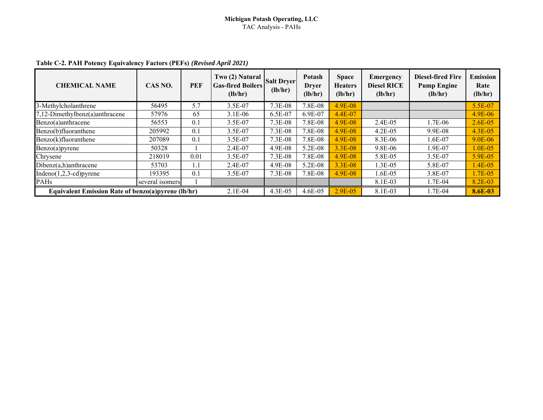#### **Michigan Potash Operating, LLC** TAC Analysis - PAHs

| <b>CHEMICAL NAME</b>                               | <b>PEF</b><br>CAS NO. |      | Two(2) Natural<br><b>Gas-fired Boilers</b><br>(lb/hr) | <b>Salt Dryer</b><br>(lb/hr) | Potash<br><b>Dryer</b><br>(lb/hr) | <b>Space</b><br><b>Heaters</b><br>(lb/hr) | Emergency<br><b>Diesel RICE</b><br>(lb/hr) | <b>Diesel-fired Fire</b><br><b>Pump Engine</b><br>(lb/hr) | <b>Emission</b><br>Rate<br>(lb/hr) |
|----------------------------------------------------|-----------------------|------|-------------------------------------------------------|------------------------------|-----------------------------------|-------------------------------------------|--------------------------------------------|-----------------------------------------------------------|------------------------------------|
| 3-Methylcholanthrene                               | 56495                 | 5.7  | 3.5E-07                                               | 7.3E-08                      | 7.8E-08                           | 4.9E-08                                   |                                            |                                                           | 5.5E-07                            |
| 7,12-Dimethylbenz(a)anthracene                     | 57976                 | 65   | $3.1E-06$                                             | 6.5E-07                      | 6.9E-07                           | $4.4E-07$                                 |                                            |                                                           | 4.9E-06                            |
| Benzo(a)anthracene                                 | 56553                 | 0.1  | 3.5E-07                                               | $7.3E-08$                    | 7.8E-08                           | 4.9E-08                                   | $2.4E-05$                                  | 1.7E-06                                                   | $2.6E-05$                          |
| Benzo(b)fluoranthene                               | 205992                | 0.1  | 3.5E-07                                               | $7.3E-08$                    | 7.8E-08                           | 4.9E-08                                   | $4.2E-05$                                  | $9.9E-08$                                                 | 4.3E-05                            |
| Benzo(k)fluoranthene                               | 207089                | 0.1  | 3.5E-07                                               | $7.3E-08$                    | 7.8E-08                           | 4.9E-08                                   | $8.3E - 06$                                | $1.6E-07$                                                 | 9.0E-06                            |
| Benzo(a)pyrene                                     | 50328                 |      | $2.4E-07$                                             | 4.9E-08                      | 5.2E-08                           | 3.3E-08                                   | 9.8E-06                                    | 1.9E-07                                                   | 1.0E-05                            |
| Chrysene                                           | 218019                | 0.01 | 3.5E-07                                               | 7.3E-08                      | 7.8E-08                           | 4.9E-08                                   | 5.8E-05                                    | 3.5E-07                                                   | 5.9E-05                            |
| $Dibenz(a,h)$ anthracene                           | 53703                 | 1.1  | $2.4E-07$                                             | 4.9E-08                      | 5.2E-08                           | $3.3E-08$                                 | $1.3E-0.5$                                 | 5.8E-07                                                   | 1.4E-05                            |
| $Indeno(1,2,3-cd)pyrene$                           | 193395                | 0.1  | 3.5E-07                                               | 7.3E-08                      | 7.8E-08                           | 4.9E-08                                   | $1.6E-0.5$                                 | 3.8E-07                                                   | 1.7E-05                            |
| <b>PAHs</b>                                        | several isomers       |      |                                                       |                              |                                   |                                           | 8.1E-03                                    | 1.7E-04                                                   | 8.2E-03                            |
| Equivalent Emission Rate of benzo(a)pyrene (lb/hr) |                       |      | $2.1E-04$                                             | $4.3E-05$                    | $4.6E-05$                         | $2.9E-05$                                 | 8.1E-03                                    | 1.7E-04                                                   | 8.6E-03                            |

**Table C-2. PAH Potency Equivalency Factors (PEFs)** *(Revised April 2021)*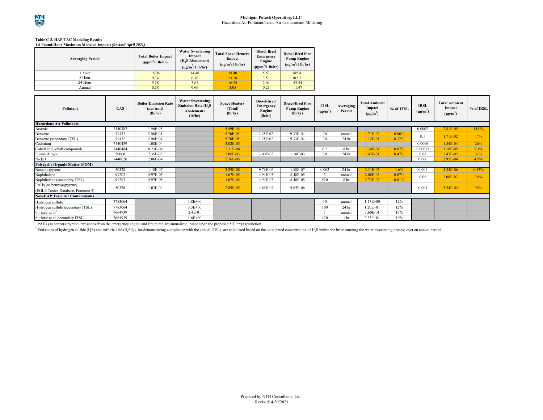#### **Table C-3. HAP/TAC Modeling Results**

**1.0 Pound/Hour Maximum Modeled Impacts** *(Revised April 2021)*

| <b>Averaging Period</b> | <b>Total Boiler Impact</b><br>$(\mu g/m^3/1 \text{ lb/hr})$ | <b>Water Sweetening</b><br>Impact<br>$(H2S$ Abatement)<br>$(\mu g/m^3/1 \text{ lb/hr})$ | <b>Total Space Heaters</b><br>Impact<br>$(\mu g/m^3/1 \text{ lb/hr})$ | Diesel-fired<br>Emergency<br>Engine<br>$(\mu g/m^3/1 \text{ lb/hr})$ | <b>Diesel-fired Fire</b><br><b>Pump Engine</b><br>$(\mu g/m^3/1 \text{ lb/hr})$ |  |
|-------------------------|-------------------------------------------------------------|-----------------------------------------------------------------------------------------|-----------------------------------------------------------------------|----------------------------------------------------------------------|---------------------------------------------------------------------------------|--|
| hour                    | 15.04                                                       | 14.46                                                                                   | 38.40                                                                 | 5.63                                                                 | 185.41                                                                          |  |
| 8 Hour                  | 9.74                                                        | 6.16                                                                                    | 23.28                                                                 | 3.57                                                                 | 102.71                                                                          |  |
| 24 Hour                 | 5.28                                                        | 3.61                                                                                    | 16.54                                                                 | 2.04                                                                 | 53.54                                                                           |  |
| Annual                  | 0.58                                                        | 0.66                                                                                    | 3.05                                                                  | 0.21                                                                 | 11.47                                                                           |  |

| Pollutant                             | <b>CAS</b> | <b>Boiler Emission Rate</b><br>(per unit)<br>(lb/hr) | <b>Water Sweetening</b><br><b>Emission Rate (H<sub>2</sub>S</b><br>Abatement)<br>(lb/hr) | <b>Space Heaters</b><br>(Total)<br>(lb/hr) | Diesel-fired<br><b>Emergency</b><br>Engine<br>(lb/hr) | <b>Diesel-fired Fire</b><br><b>Pump Engine</b><br>(lb/hr) | <b>ITSL</b><br>$(\mu g/m^3)$ | Averaging<br>Period | <b>Total Ambient</b><br>Impact<br>$(\mu g/m^3)$ | % of ITSL | <b>IRSL</b><br>$(\mu g/m^3)$ | <b>Total Ambient</b><br>Impact<br>$(\mu g/m^3)$ | % of IRSL |
|---------------------------------------|------------|------------------------------------------------------|------------------------------------------------------------------------------------------|--------------------------------------------|-------------------------------------------------------|-----------------------------------------------------------|------------------------------|---------------------|-------------------------------------------------|-----------|------------------------------|-------------------------------------------------|-----------|
| <b>Hazardous Air Pollutants</b>       |            |                                                      |                                                                                          |                                            |                                                       |                                                           |                              |                     |                                                 |           |                              |                                                 |           |
| Arsenic                               | 7440382    | 1.96E-05                                             |                                                                                          | $5.49E-06$                                 |                                                       |                                                           |                              |                     |                                                 |           | 0.0002                       | 2.81E-05                                        | 14.0%     |
| Benzene                               | 71432      | 2.06E-04                                             |                                                                                          | $5.76E-0.5$                                | 2.95E-02                                              | 9.33E-04                                                  | 30                           | annual              | 1.71E-02                                        | 0.06%     | 0.1                          | 1.71E-02                                        | 17%       |
| Benzene (secondary ITSL)              | 71432      | 2.06E-04                                             |                                                                                          | 5.76E-05                                   | 2.95E-02                                              | 9.33E-04                                                  | 30                           | 24 hr               | $1.12E-01$                                      | 0.37%     |                              |                                                 |           |
| Cadmium                               | 7440439    | 1.08E-04                                             |                                                                                          | $3.02E - 05$                               |                                                       |                                                           |                              |                     |                                                 |           | 0.0006                       | $1.54E-04$                                      | 26%       |
| Cobalt and cobalt compounds           | 7440484    | 8.23E-06                                             |                                                                                          | 2.31E-06                                   |                                                       |                                                           | 0.2                          | 8 <sub>hr</sub>     | 1.34E-04                                        | 0.07%     | 0.00013                      | 1.18E-05                                        | 9.1%      |
| Formaldehyde                          | 50000      | 7.35E-03                                             |                                                                                          | 2.06E-03                                   | 3.00E-03                                              | 1.18E-03                                                  | 30                           | 24 hr               | $1.42E - 01$                                    | 0.47%     | 0.08                         | $2.47E - 02$                                    | 31%       |
| Nickel                                | 7440020    | 2.06E-04                                             |                                                                                          | 5.76E-05                                   |                                                       |                                                           |                              |                     |                                                 |           | 0.006                        | 2.95E-04                                        | 4.9%      |
| Polycyclic Organic Matter (POM)       |            |                                                      |                                                                                          |                                            |                                                       |                                                           |                              |                     |                                                 |           |                              |                                                 |           |
| Benzo(a)pyrene                        | 50328      | 1.18E-07                                             |                                                                                          | 3.29E-08                                   | 9.76E-06                                              | 1.88E-07                                                  | 0.002                        | 24 hr               | 3.11E-05                                        | 1.6%      | 0.001                        | 4.34E-06                                        | 0.43%     |
| Naphthalene                           | 91203      | 5.97E-05                                             |                                                                                          | 1.67E-05                                   | 4.94E-03                                              | 8.48E-05                                                  |                              | annua               | 2.08E-03                                        | 0.07%     | 0.08                         | 2.08E-03                                        | 2.6%      |
| Naphthalene (secondary ITSL)          | 91203      | 5.97E-05                                             |                                                                                          | $1.67E - 0.5$                              | 4.94E-03                                              | 8.48E-05                                                  | 520                          | 8 <sub>hr</sub>     | 2.73E-02                                        | 0.01%     |                              |                                                 |           |
| PAHs (as benzo(a)pyrene)              | 50328      |                                                      |                                                                                          |                                            | $4.61E-04$                                            | 9.65E-06                                                  |                              |                     |                                                 |           | 0.001                        |                                                 | 35%       |
| (EGLE Toxics Database, Footnote 5)    |            | 1.03E-04                                             |                                                                                          | 2.89E-05                                   |                                                       |                                                           |                              |                     |                                                 |           |                              | 3.54E-04                                        |           |
| <b>Non-HAP Toxic Air Contaminants</b> |            |                                                      |                                                                                          |                                            |                                                       |                                                           |                              |                     |                                                 |           |                              |                                                 |           |
| Hydrogen sulfide <sup>2</sup>         | 7783064    |                                                      | $1.8E + 00$                                                                              |                                            |                                                       |                                                           | 10                           | annual              | $1.17E + 00$                                    | 12%       |                              |                                                 |           |
| Hydrogen sulfide (secondary ITSL)     | 7783064    |                                                      | $3.3E + 00$                                                                              |                                            |                                                       |                                                           | 100                          | 24 hr               | $1.20E + 01$                                    | 12%       |                              |                                                 |           |
| Sulfuric acid <sup>2</sup>            | 7664939    |                                                      | $2.4E-01$                                                                                |                                            |                                                       |                                                           |                              | annual              | 1.60E-01                                        | 16%       |                              |                                                 |           |
| Sulfuric acid (secondary ITSL)        | 7664939    |                                                      | $1.6E + 00$                                                                              |                                            |                                                       |                                                           | 120                          | l hr                | $2.33E+01$                                      | 19%       |                              |                                                 |           |

<sup>1</sup> PAHs (as benzo(a)pyrene) emissions from the emergency engine and fire pump are annualized, based upon the proposed 500 hr/yr restriction.

 $^2$  Emissions of hydrogen sulfide (H<sub>S</sub>S) and sulfuric acid (H<sub>S</sub>O<sub>4</sub>), for demonstrating compliance with the annual ITSLs, are calculated based on the anticipated concentration of H<sub>2</sub>S within the brine entering the wat